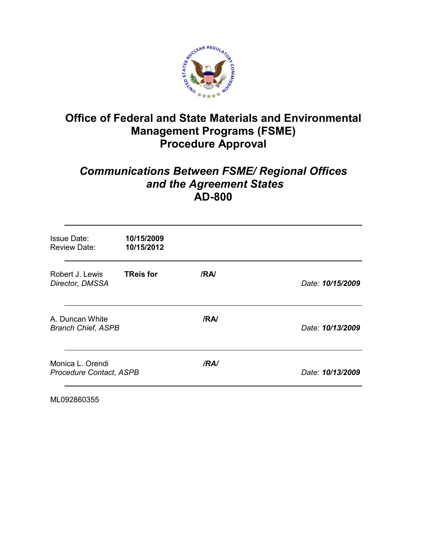

# **Office of Federal and State Materials and Environmental Management Programs (FSME) Procedure Approval**

# *Communications Between FSME/ Regional Offices and the Agreement States* **AD-800**

| <b>Issue Date:</b><br><b>Review Date:</b>          | 10/15/2009<br>10/15/2012 |      |                  |
|----------------------------------------------------|--------------------------|------|------------------|
| Robert J. Lewis<br>Director, DMSSA                 | <b>TReis for</b>         | /RA  | Date: 10/15/2009 |
| A. Duncan White<br><b>Branch Chief, ASPB</b>       |                          | /RA/ | Date: 10/13/2009 |
| Monica L. Orendi<br><b>Procedure Contact, ASPB</b> |                          | /RA/ | Date: 10/13/2009 |

ML092860355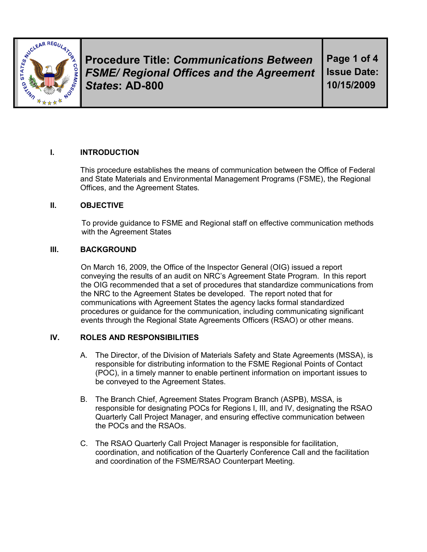

**Procedure Title:** *Communications Between FSME/ Regional Offices and the Agreement States***: AD-800** 

**Page 1 of 4 Issue Date: 10/15/2009**

### **I. INTRODUCTION**

This procedure establishes the means of communication between the Office of Federal and State Materials and Environmental Management Programs (FSME), the Regional Offices, and the Agreement States*.*

#### **II. OBJECTIVE**

To provide guidance to FSME and Regional staff on effective communication methods with the Agreement States

#### **III. BACKGROUND**

On March 16, 2009, the Office of the Inspector General (OIG) issued a report conveying the results of an audit on NRC's Agreement State Program. In this report the OIG recommended that a set of procedures that standardize communications from the NRC to the Agreement States be developed. The report noted that for communications with Agreement States the agency lacks formal standardized procedures or guidance for the communication, including communicating significant events through the Regional State Agreements Officers (RSAO) or other means.

### **IV. ROLES AND RESPONSIBILITIES**

- A. The Director, of the Division of Materials Safety and State Agreements (MSSA), is responsible for distributing information to the FSME Regional Points of Contact (POC), in a timely manner to enable pertinent information on important issues to be conveyed to the Agreement States.
- B. The Branch Chief, Agreement States Program Branch (ASPB), MSSA, is responsible for designating POCs for Regions I, III, and IV, designating the RSAO Quarterly Call Project Manager, and ensuring effective communication between the POCs and the RSAOs.
- C. The RSAO Quarterly Call Project Manager is responsible for facilitation, coordination, and notification of the Quarterly Conference Call and the facilitation and coordination of the FSME/RSAO Counterpart Meeting.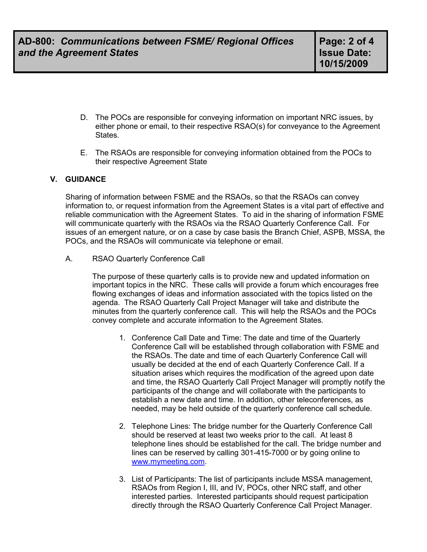- D. The POCs are responsible for conveying information on important NRC issues, by either phone or email, to their respective RSAO(s) for conveyance to the Agreement States.
- E. The RSAOs are responsible for conveying information obtained from the POCs to their respective Agreement State

#### **V. GUIDANCE**

Sharing of information between FSME and the RSAOs, so that the RSAOs can convey information to, or request information from the Agreement States is a vital part of effective and reliable communication with the Agreement States. To aid in the sharing of information FSME will communicate quarterly with the RSAOs via the RSAO Quarterly Conference Call. For issues of an emergent nature, or on a case by case basis the Branch Chief, ASPB, MSSA, the POCs, and the RSAOs will communicate via telephone or email.

A. RSAO Quarterly Conference Call

The purpose of these quarterly calls is to provide new and updated information on important topics in the NRC. These calls will provide a forum which encourages free flowing exchanges of ideas and information associated with the topics listed on the agenda. The RSAO Quarterly Call Project Manager will take and distribute the minutes from the quarterly conference call. This will help the RSAOs and the POCs convey complete and accurate information to the Agreement States.

- 1. Conference Call Date and Time: The date and time of the Quarterly Conference Call will be established through collaboration with FSME and the RSAOs. The date and time of each Quarterly Conference Call will usually be decided at the end of each Quarterly Conference Call. If a situation arises which requires the modification of the agreed upon date and time, the RSAO Quarterly Call Project Manager will promptly notify the participants of the change and will collaborate with the participants to establish a new date and time. In addition, other teleconferences, as needed, may be held outside of the quarterly conference call schedule.
- 2. Telephone Lines: The bridge number for the Quarterly Conference Call should be reserved at least two weeks prior to the call. At least 8 telephone lines should be established for the call. The bridge number and lines can be reserved by calling 301-415-7000 or by going online to www.mymeeting.com.
- 3. List of Participants: The list of participants include MSSA management, RSAOs from Region I, III, and IV, POCs, other NRC staff, and other interested parties. Interested participants should request participation directly through the RSAO Quarterly Conference Call Project Manager.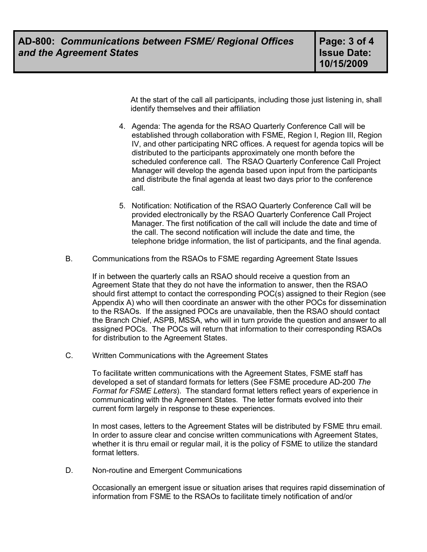At the start of the call all participants, including those just listening in, shall identify themselves and their affiliation

- 4. Agenda: The agenda for the RSAO Quarterly Conference Call will be established through collaboration with FSME, Region I, Region III, Region IV, and other participating NRC offices. A request for agenda topics will be distributed to the participants approximately one month before the scheduled conference call. The RSAO Quarterly Conference Call Project Manager will develop the agenda based upon input from the participants and distribute the final agenda at least two days prior to the conference call.
- 5. Notification: Notification of the RSAO Quarterly Conference Call will be provided electronically by the RSAO Quarterly Conference Call Project Manager. The first notification of the call will include the date and time of the call. The second notification will include the date and time, the telephone bridge information, the list of participants, and the final agenda.
- B. Communications from the RSAOs to FSME regarding Agreement State Issues

If in between the quarterly calls an RSAO should receive a question from an Agreement State that they do not have the information to answer, then the RSAO should first attempt to contact the corresponding POC(s) assigned to their Region (see Appendix A) who will then coordinate an answer with the other POCs for dissemination to the RSAOs. If the assigned POCs are unavailable, then the RSAO should contact the Branch Chief, ASPB, MSSA, who will in turn provide the question and answer to all assigned POCs. The POCs will return that information to their corresponding RSAOs for distribution to the Agreement States.

C. Written Communications with the Agreement States

To facilitate written communications with the Agreement States, FSME staff has developed a set of standard formats for letters (See FSME procedure AD-200 *The Format for FSME Letters*). The standard format letters reflect years of experience in communicating with the Agreement States. The letter formats evolved into their current form largely in response to these experiences.

In most cases, letters to the Agreement States will be distributed by FSME thru email. In order to assure clear and concise written communications with Agreement States, whether it is thru email or regular mail, it is the policy of FSME to utilize the standard format letters.

D. Non-routine and Emergent Communications

Occasionally an emergent issue or situation arises that requires rapid dissemination of information from FSME to the RSAOs to facilitate timely notification of and/or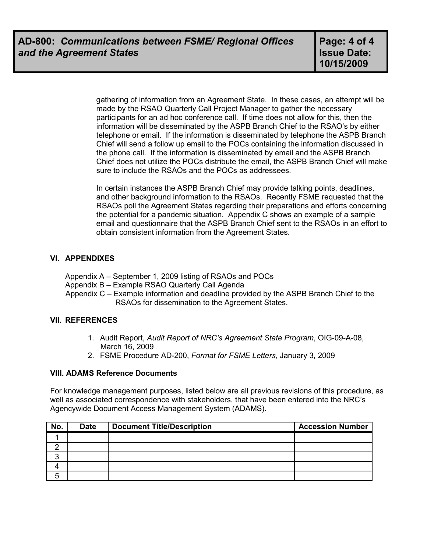gathering of information from an Agreement State. In these cases, an attempt will be made by the RSAO Quarterly Call Project Manager to gather the necessary participants for an ad hoc conference call. If time does not allow for this, then the information will be disseminated by the ASPB Branch Chief to the RSAO's by either telephone or email. If the information is disseminated by telephone the ASPB Branch Chief will send a follow up email to the POCs containing the information discussed in the phone call. If the information is disseminated by email and the ASPB Branch Chief does not utilize the POCs distribute the email, the ASPB Branch Chief will make sure to include the RSAOs and the POCs as addressees.

In certain instances the ASPB Branch Chief may provide talking points, deadlines, and other background information to the RSAOs. Recently FSME requested that the RSAOs poll the Agreement States regarding their preparations and efforts concerning the potential for a pandemic situation. Appendix C shows an example of a sample email and questionnaire that the ASPB Branch Chief sent to the RSAOs in an effort to obtain consistent information from the Agreement States.

### **VI. APPENDIXES**

Appendix A – September 1, 2009 listing of RSAOs and POCs

Appendix B – Example RSAO Quarterly Call Agenda

 Appendix C – Example information and deadline provided by the ASPB Branch Chief to the RSAOs for dissemination to the Agreement States.

### **VII. REFERENCES**

- 1. Audit Report, *Audit Report of NRC's Agreement State Program*, OIG-09-A-08, March 16, 2009
- 2. FSME Procedure AD-200, *Format for FSME Letters*, January 3, 2009

### **VIII. ADAMS Reference Documents**

For knowledge management purposes, listed below are all previous revisions of this procedure, as well as associated correspondence with stakeholders, that have been entered into the NRC's Agencywide Document Access Management System (ADAMS).

| No. | <b>Date</b> | <b>Document Title/Description</b> | <b>Accession Number</b> |
|-----|-------------|-----------------------------------|-------------------------|
|     |             |                                   |                         |
|     |             |                                   |                         |
|     |             |                                   |                         |
|     |             |                                   |                         |
|     |             |                                   |                         |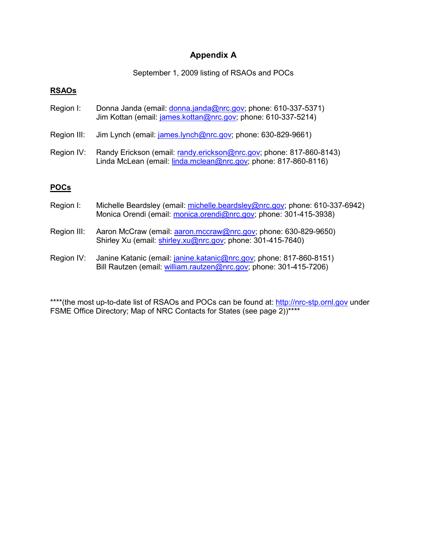# **Appendix A**

September 1, 2009 listing of RSAOs and POCs

### **RSAOs**

- Region I: Donna Janda (email: donna.janda@nrc.gov; phone: 610-337-5371) Jim Kottan (email: james.kottan@nrc.gov; phone: 610-337-5214)
- Region III: Jim Lynch (email: james.lynch@nrc.gov; phone: 630-829-9661)
- Region IV: Randy Erickson (email: randy.erickson@nrc.gov; phone: 817-860-8143) Linda McLean (email: linda.mclean@nrc.gov; phone: 817-860-8116)

### **POCs**

- Region I: Michelle Beardsley (email: michelle.beardsley@nrc.gov; phone: 610-337-6942) Monica Orendi (email: monica.orendi@nrc.gov; phone: 301-415-3938)
- Region III: Aaron McCraw (email: aaron.mccraw@nrc.gov; phone: 630-829-9650) Shirley Xu (email: shirley.xu@nrc.gov; phone: 301-415-7640)
- Region IV: Janine Katanic (email: *janine.katanic@nrc.gov;* phone: 817-860-8151) Bill Rautzen (email: william.rautzen@nrc.gov; phone: 301-415-7206)

\*\*\*\*(the most up-to-date list of RSAOs and POCs can be found at: http://nrc-stp.ornl.gov under FSME Office Directory; Map of NRC Contacts for States (see page 2))\*\*\*\*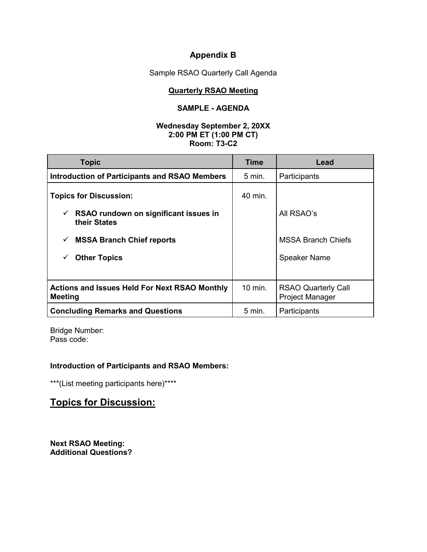# **Appendix B**

Sample RSAO Quarterly Call Agenda

#### **Quarterly RSAO Meeting**

### **SAMPLE - AGENDA**

#### **Wednesday September 2, 20XX 2:00 PM ET (1:00 PM CT) Room: T3-C2**

| <b>Topic</b>                                                           | Time              | Lead                                                 |
|------------------------------------------------------------------------|-------------------|------------------------------------------------------|
| <b>Introduction of Participants and RSAO Members</b>                   | $5 \text{ min}$ . | Participants                                         |
| <b>Topics for Discussion:</b>                                          | 40 min.           |                                                      |
| RSAO rundown on significant issues in<br>✓<br>their States             |                   | All RSAO's                                           |
| <b>MSSA Branch Chief reports</b><br>✓                                  |                   | <b>MSSA Branch Chiefs</b>                            |
| <b>Other Topics</b>                                                    |                   | <b>Speaker Name</b>                                  |
|                                                                        |                   |                                                      |
| <b>Actions and Issues Held For Next RSAO Monthly</b><br><b>Meeting</b> | 10 min.           | <b>RSAO Quarterly Call</b><br><b>Project Manager</b> |
| <b>Concluding Remarks and Questions</b>                                | $5 \text{ min.}$  | Participants                                         |

Bridge Number: Pass code:

# **Introduction of Participants and RSAO Members:**

\*\*\*(List meeting participants here)\*\*\*\*

# **Topics for Discussion:**

**Next RSAO Meeting: Additional Questions?**